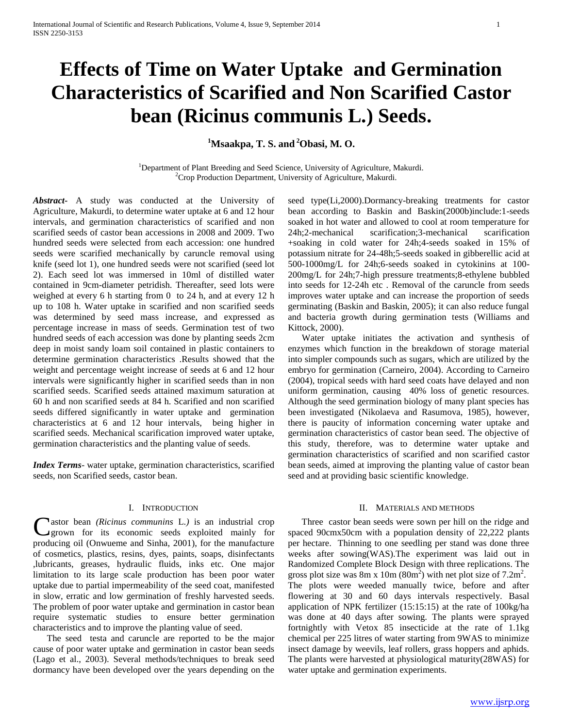# **Effects of Time on Water Uptake and Germination Characteristics of Scarified and Non Scarified Castor bean (Ricinus communis L.) Seeds.**

**<sup>1</sup>Msaakpa, T. S. and <sup>2</sup>Obasi, M. O.**

<sup>1</sup>Department of Plant Breeding and Seed Science, University of Agriculture, Makurdi.  ${}^{2}$ Crop Production Department, University of Agriculture, Makurdi.

*Abstract***-** A study was conducted at the University of Agriculture, Makurdi, to determine water uptake at 6 and 12 hour intervals, and germination characteristics of scarified and non scarified seeds of castor bean accessions in 2008 and 2009. Two hundred seeds were selected from each accession: one hundred seeds were scarified mechanically by caruncle removal using knife (seed lot 1), one hundred seeds were not scarified (seed lot 2). Each seed lot was immersed in 10ml of distilled water contained in 9cm-diameter petridish. Thereafter, seed lots were weighed at every 6 h starting from 0 to 24 h, and at every 12 h up to 108 h. Water uptake in scarified and non scarified seeds was determined by seed mass increase, and expressed as percentage increase in mass of seeds. Germination test of two hundred seeds of each accession was done by planting seeds 2cm deep in moist sandy loam soil contained in plastic containers to determine germination characteristics .Results showed that the weight and percentage weight increase of seeds at 6 and 12 hour intervals were significantly higher in scarified seeds than in non scarified seeds. Scarified seeds attained maximum saturation at 60 h and non scarified seeds at 84 h. Scarified and non scarified seeds differed significantly in water uptake and germination characteristics at 6 and 12 hour intervals, being higher in scarified seeds. Mechanical scarification improved water uptake, germination characteristics and the planting value of seeds.

*Index Terms*- water uptake, germination characteristics, scarified seeds, non Scarified seeds, castor bean.

#### I. INTRODUCTION

Castor bean *(Ricinus communins L.)* is an industrial crop grown for its economic seeds exploited mainly for grown for its economic seeds exploited mainly for producing oil (Onwueme and Sinha, 2001), for the manufacture of cosmetics, plastics, resins, dyes, paints, soaps, disinfectants ,lubricants, greases, hydraulic fluids, inks etc. One major limitation to its large scale production has been poor water uptake due to partial impermeability of the seed coat, manifested in slow, erratic and low germination of freshly harvested seeds. The problem of poor water uptake and germination in castor bean require systematic studies to ensure better germination characteristics and to improve the planting value of seed.

 The seed testa and caruncle are reported to be the major cause of poor water uptake and germination in castor bean seeds (Lago et al., 2003). Several methods/techniques to break seed dormancy have been developed over the years depending on the seed type(Li,2000).Dormancy-breaking treatments for castor bean according to Baskin and Baskin(2000b)include:1-seeds soaked in hot water and allowed to cool at room temperature for 24h;2-mechanical scarification;3-mechanical scarification +soaking in cold water for 24h;4-seeds soaked in 15% of potassium nitrate for 24-48h;5-seeds soaked in gibberellic acid at 500-1000mg/L for 24h;6-seeds soaked in cytokinins at 100- 200mg/L for 24h;7-high pressure treatments;8-ethylene bubbled into seeds for 12-24h etc . Removal of the caruncle from seeds improves water uptake and can increase the proportion of seeds germinating (Baskin and Baskin, 2005); it can also reduce fungal and bacteria growth during germination tests (Williams and Kittock, 2000).

 Water uptake initiates the activation and synthesis of enzymes which function in the breakdown of storage material into simpler compounds such as sugars, which are utilized by the embryo for germination (Carneiro, 2004). According to Carneiro (2004), tropical seeds with hard seed coats have delayed and non uniform germination, causing 40% loss of genetic resources. Although the seed germination biology of many plant species has been investigated (Nikolaeva and Rasumova, 1985), however, there is paucity of information concerning water uptake and germination characteristics of castor bean seed. The objective of this study, therefore, was to determine water uptake and germination characteristics of scarified and non scarified castor bean seeds, aimed at improving the planting value of castor bean seed and at providing basic scientific knowledge.

### II. MATERIALS AND METHODS

 Three castor bean seeds were sown per hill on the ridge and spaced 90cmx50cm with a population density of 22,222 plants per hectare. Thinning to one seedling per stand was done three weeks after sowing(WAS).The experiment was laid out in Randomized Complete Block Design with three replications. The gross plot size was 8m x 10m  $(80m^2)$  with net plot size of 7.2m<sup>2</sup>. The plots were weeded manually twice, before and after flowering at 30 and 60 days intervals respectively. Basal application of NPK fertilizer (15:15:15) at the rate of 100kg/ha was done at 40 days after sowing. The plants were sprayed fortnightly with Vetox 85 insecticide at the rate of 1.1kg chemical per 225 litres of water starting from 9WAS to minimize insect damage by weevils, leaf rollers, grass hoppers and aphids. The plants were harvested at physiological maturity(28WAS) for water uptake and germination experiments.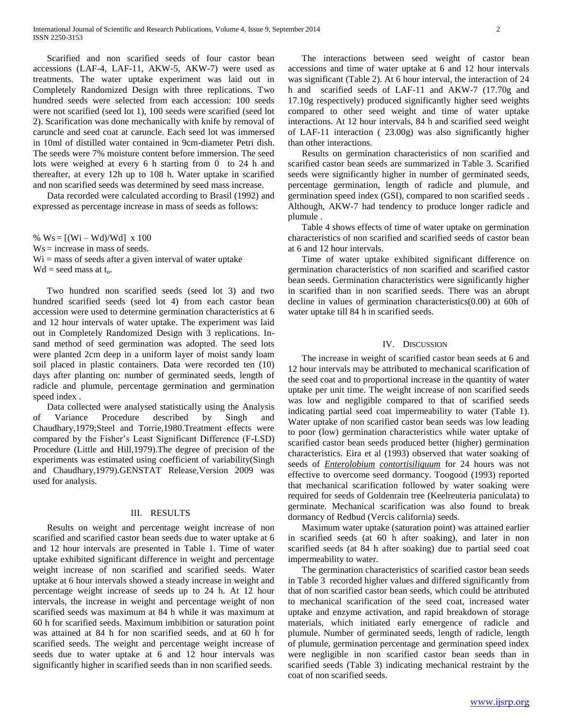Scarified and non scarified seeds of four castor bean accessions (LAF-4, LAF-11, AKW-5, AKW-7) were used as treatments. The water uptake experiment was laid out in Completely Randomized Design with three replications. Two hundred seeds were selected from each accession: 100 seeds were not scarified (seed lot 1), 100 seeds were scarified (seed lot 2). Scarification was done mechanically with knife by removal of caruncle and seed coat at caruncle. Each seed lot was immersed in 10ml of distilled water contained in 9cm-diameter Petri dish. The seeds were 7% moisture content before immersion. The seed lots were weighed at every 6 h starting from 0 to 24 h and thereafter, at every 12h up to 108 h. Water uptake in scarified and non scarified seeds was determined by seed mass increase.

 Data recorded were calculated according to Brasil (1992) and expressed as percentage increase in mass of seeds as follows:

%  $Ws = [(Wi - Wd)/Wd] x 100$ Ws = increase in mass of seeds.  $Wi = mass of seeds after a given interval of water uptake$  $Wd =$  seed mass at  $t_o$ .

 Two hundred non scarified seeds (seed lot 3) and two hundred scarified seeds (seed lot 4) from each castor bean accession were used to determine germination characteristics at 6 and 12 hour intervals of water uptake. The experiment was laid out in Completely Randomized Design with 3 replications. Insand method of seed germination was adopted. The seed lots were planted 2cm deep in a uniform layer of moist sandy loam soil placed in plastic containers. Data were recorded ten (10) days after planting on: number of germinated seeds, length of radicle and plumule, percentage germination and germination speed index .

 Data collected were analysed statistically using the Analysis of Variance Procedure described by Singh and Chaudhary,1979;Steel and Torrie,1980.Treatment effects were compared by the Fisher's Least Significant Difference (F-LSD) Procedure (Little and Hill,1979).The degree of precision of the experiments was estimated using coefficient of variability(Singh and Chaudhary,1979).GENSTAT Release,Version 2009 was used for analysis.

# III. RESULTS

 Results on weight and percentage weight increase of non scarified and scarified castor bean seeds due to water uptake at 6 and 12 hour intervals are presented in Table 1. Time of water uptake exhibited significant difference in weight and percentage weight increase of non scarified and scarified seeds. Water uptake at 6 hour intervals showed a steady increase in weight and percentage weight increase of seeds up to 24 h. At 12 hour intervals, the increase in weight and percentage weight of non scarified seeds was maximum at 84 h while it was maximum at 60 h for scarified seeds. Maximum imbibition or saturation point was attained at 84 h for non scarified seeds, and at 60 h for scarified seeds. The weight and percentage weight increase of seeds due to water uptake at 6 and 12 hour intervals was significantly higher in scarified seeds than in non scarified seeds.

 The interactions between seed weight of castor bean accessions and time of water uptake at 6 and 12 hour intervals was significant (Table 2). At 6 hour interval, the interaction of 24 h and scarified seeds of LAF-11 and AKW-7 (17.70g and 17.10g respectively) produced significantly higher seed weights compared to other seed weight and time of water uptake interactions. At 12 hour intervals, 84 h and scarified seed weight of LAF-11 interaction ( 23.00g) was also significantly higher than other interactions.

 Results on germination characteristics of non scarified and scarified castor bean seeds are summarized in Table 3. Scarified seeds were significantly higher in number of germinated seeds, percentage germination, length of radicle and plumule, and germination speed index (GSI), compared to non scarified seeds . Although, AKW-7 had tendency to produce longer radicle and plumule .

 Table 4 shows effects of time of water uptake on germination characteristics of non scarified and scarified seeds of castor bean at 6 and 12 hour intervals.

 Time of water uptake exhibited significant difference on germination characteristics of non scarified and scarified castor bean seeds. Germination characteristics were significantly higher in scarified than in non scarified seeds. There was an abrupt decline in values of germination characteristics(0.00) at 60h of water uptake till 84 h in scarified seeds.

#### IV. DISCUSSION

 The increase in weight of scarified castor bean seeds at 6 and 12 hour intervals may be attributed to mechanical scarification of the seed coat and to proportional increase in the quantity of water uptake per unit time. The weight increase of non scarified seeds was low and negligible compared to that of scarified seeds indicating partial seed coat impermeability to water (Table 1). Water uptake of non scarified castor bean seeds was low leading to poor (low) germination characteristics while water uptake of scarified castor bean seeds produced better (higher) germination characteristics. Eira et al (1993) observed that water soaking of seeds of *Enterolobium contortisiliquum* for 24 hours was not effective to overcome seed dormancy. Toogood (1993) reported that mechanical scarification followed by water soaking were required for seeds of Goldenrain tree (Keelreuteria paniculata) to germinate. Mechanical scarification was also found to break dormancy of Redbud (Vercis california) seeds.

 Maximum water uptake (saturation point) was attained earlier in scarified seeds (at 60 h after soaking), and later in non scarified seeds (at 84 h after soaking) due to partial seed coat impermeability to water.

 The germination characteristics of scarified castor bean seeds in Table 3 recorded higher values and differed significantly from that of non scarified castor bean seeds, which could be attributed to mechanical scarification of the seed coat, increased water uptake and enzyme activation, and rapid breakdown of storage materials, which initiated early emergence of radicle and plumule. Number of germinated seeds, length of radicle, length of plumule, germination percentage and germination speed index were negligible in non scarified castor bean seeds than in scarified seeds (Table 3) indicating mechanical restraint by the coat of non scarified seeds.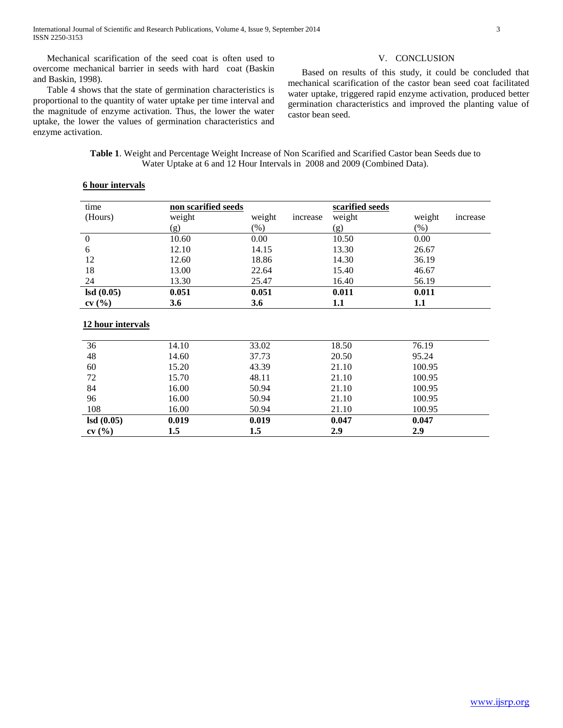Mechanical scarification of the seed coat is often used to overcome mechanical barrier in seeds with hard coat (Baskin and Baskin, 1998).

#### V. CONCLUSION

 Based on results of this study, it could be concluded that mechanical scarification of the castor bean seed coat facilitated water uptake, triggered rapid enzyme activation, produced better germination characteristics and improved the planting value of castor bean seed.

 Table 4 shows that the state of germination characteristics is proportional to the quantity of water uptake per time interval and the magnitude of enzyme activation. Thus, the lower the water uptake, the lower the values of germination characteristics and enzyme activation.

> **Table 1**. Weight and Percentage Weight Increase of Non Scarified and Scarified Castor bean Seeds due to Water Uptake at 6 and 12 Hour Intervals in 2008 and 2009 (Combined Data).

| time           | non scarified seeds |                    | scarified seeds |                    |
|----------------|---------------------|--------------------|-----------------|--------------------|
| (Hours)        | weight              | weight<br>increase | weight          | weight<br>increase |
|                | (g)                 | $(\%)$             | (g)             | $(\%)$             |
| $\overline{0}$ | 10.60               | 0.00               | 10.50           | 0.00               |
| 6              | 12.10               | 14.15              | 13.30           | 26.67              |
| 12             | 12.60               | 18.86              | 14.30           | 36.19              |
| 18             | 13.00               | 22.64              | 15.40           | 46.67              |
| 24             | 13.30               | 25.47              | 16.40           | 56.19              |
| lsd(0.05)      | 0.051               | 0.051              | 0.011           | 0.011              |
| cv(%)          | 3.6                 | 3.6                | 1.1             | 1.1                |

## **6 hour intervals**

#### **12 hour intervals**

| 36        | 14.10 | 33.02 | 18.50 | 76.19  |  |
|-----------|-------|-------|-------|--------|--|
| 48        | 14.60 | 37.73 | 20.50 | 95.24  |  |
| 60        | 15.20 | 43.39 | 21.10 | 100.95 |  |
| 72        | 15.70 | 48.11 | 21.10 | 100.95 |  |
| 84        | 16.00 | 50.94 | 21.10 | 100.95 |  |
| 96        | 16.00 | 50.94 | 21.10 | 100.95 |  |
| 108       | 16.00 | 50.94 | 21.10 | 100.95 |  |
| lsd(0.05) | 0.019 | 0.019 | 0.047 | 0.047  |  |
| cv(%)     | 1.5   | 1.5   | 2.9   | 2.9    |  |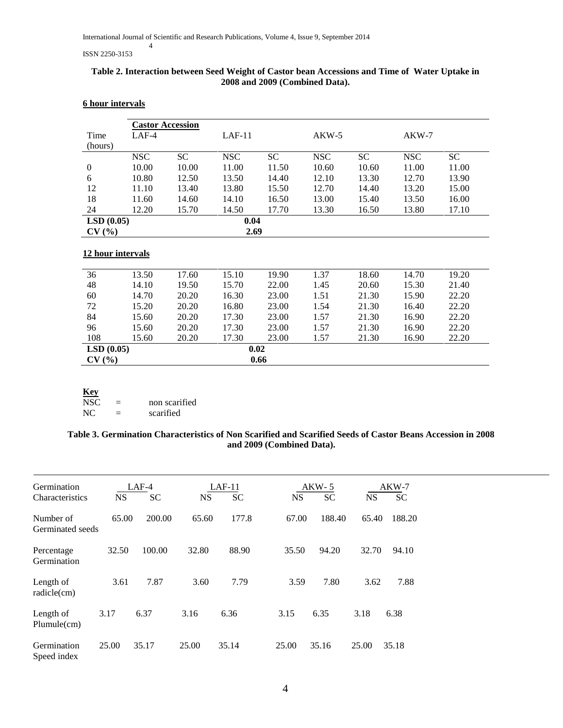#### ISSN 2250-3153

## **Table 2. Interaction between Seed Weight of Castor bean Accessions and Time of Water Uptake in 2008 and 2009 (Combined Data).**

|                   |            | <b>Castor Accession</b> |            |           |            |           |            |           |
|-------------------|------------|-------------------------|------------|-----------|------------|-----------|------------|-----------|
| Time              | $LAF-4$    |                         | $LAF-11$   |           |            | $AKW-5$   |            |           |
| (hours)           |            |                         |            |           |            |           |            |           |
|                   | <b>NSC</b> | <b>SC</b>               | <b>NSC</b> | <b>SC</b> | <b>NSC</b> | <b>SC</b> | <b>NSC</b> | <b>SC</b> |
| $\theta$          | 10.00      | 10.00                   | 11.00      | 11.50     | 10.60      | 10.60     | 11.00      | 11.00     |
| 6                 | 10.80      | 12.50                   | 13.50      | 14.40     | 12.10      | 13.30     | 12.70      | 13.90     |
| 12                | 11.10      | 13.40                   | 13.80      | 15.50     | 12.70      | 14.40     | 13.20      | 15.00     |
| 18                | 11.60      | 14.60                   | 14.10      | 16.50     | 13.00      | 15.40     | 13.50      | 16.00     |
| 24                | 12.20      | 15.70                   | 14.50      | 17.70     | 13.30      | 16.50     | 13.80      | 17.10     |
| LSD(0.05)         |            |                         | 0.04       |           |            |           |            |           |
| CV(%)             |            |                         | 2.69       |           |            |           |            |           |
|                   |            |                         |            |           |            |           |            |           |
| 12 hour intervals |            |                         |            |           |            |           |            |           |
| 36                | 13.50      | 17.60                   | 15.10      | 19.90     | 1.37       | 18.60     | 14.70      | 19.20     |
| 48                | 14.10      | 19.50                   | 15.70      | 22.00     | 1.45       | 20.60     | 15.30      | 21.40     |
| 60                | 14.70      | 20.20                   | 16.30      | 23.00     | 1.51       | 21.30     | 15.90      | 22.20     |
| 72                | 15.20      | 20.20                   | 16.80      | 23.00     | 1.54       | 21.30     | 16.40      | 22.20     |
| 84                | 15.60      | 20.20                   | 17.30      | 23.00     | 1.57       | 21.30     | 16.90      | 22.20     |
| 96                | 15.60      | 20.20                   | 17.30      | 23.00     | 1.57       | 21.30     | 16.90      | 22.20     |
| 108               | 15.60      | 20.20                   | 17.30      | 23.00     | 1.57       | 21.30     | 16.90      | 22.20     |
| LSD(0.05)         |            |                         |            | 0.02      |            |           |            |           |
| CV(%)             |            |                         |            | 0.66      |            |           |            |           |

## **6 hour intervals**

| <b>Key</b> |               |
|------------|---------------|
| NSC.       | non scarified |
| NC.        | scarified     |

# **Table 3. Germination Characteristics of Non Scarified and Scarified Seeds of Castor Beans Accession in 2008 and 2009 (Combined Data).**

| Germination<br>Characteristics | <b>NS</b> | $LAF-4$<br><b>SC</b> | <b>NS</b> | $LAF-11$<br>SC | <b>NS</b> | $AKW-5$<br>SC | <b>NS</b> | $AKW-7$<br><b>SC</b> |
|--------------------------------|-----------|----------------------|-----------|----------------|-----------|---------------|-----------|----------------------|
| Number of<br>Germinated seeds  | 65.00     | 200.00               | 65.60     | 177.8          | 67.00     | 188.40        | 65.40     | 188.20               |
| Percentage<br>Germination      | 32.50     | 100.00               | 32.80     | 88.90          | 35.50     | 94.20         | 32.70     | 94.10                |
| Length of<br>radicle(cm)       | 3.61      | 7.87                 | 3.60      | 7.79           | 3.59      | 7.80          | 3.62      | 7.88                 |
| Length of<br>Plumule(cm)       | 3.17      | 6.37                 | 3.16      | 6.36           | 3.15      | 6.35          | 3.18      | 6.38                 |
| Germination<br>Speed index     | 25.00     | 35.17                | 25.00     | 35.14          | 25.00     | 35.16         | 25.00     | 35.18                |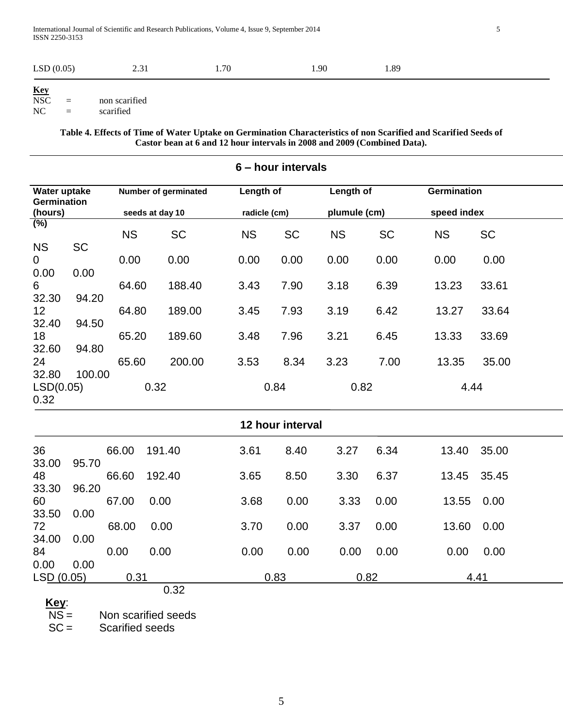| (0.05)<br><b>LSD</b> | <u>.</u> | 70 | .90 | 1.89 |
|----------------------|----------|----|-----|------|
| Kev                  |          |    |     |      |

**NSC**  $NSC =$  non scarified<br> $NC =$  scarified scarified

> **Table 4. Effects of Time of Water Uptake on Germination Characteristics of non Scarified and Scarified Seeds of Castor bean at 6 and 12 hour intervals in 2008 and 2009 (Combined Data).**

|                                    | 6 - hour intervals |           |                      |  |              |                  |           |              |             |             |  |
|------------------------------------|--------------------|-----------|----------------------|--|--------------|------------------|-----------|--------------|-------------|-------------|--|
| Water uptake<br><b>Germination</b> |                    |           | Number of germinated |  | Length of    |                  | Length of |              | Germination |             |  |
| (hours)                            |                    |           | seeds at day 10      |  | radicle (cm) |                  |           | plumule (cm) |             | speed index |  |
| $(\%)$                             |                    |           |                      |  |              |                  |           |              |             |             |  |
|                                    |                    | <b>NS</b> | <b>SC</b>            |  | <b>NS</b>    | <b>SC</b>        | <b>NS</b> | <b>SC</b>    | <b>NS</b>   | <b>SC</b>   |  |
| <b>NS</b>                          | <b>SC</b>          | 0.00      |                      |  |              |                  | 0.00      | 0.00         | 0.00        | 0.00        |  |
| $\mathbf 0$<br>0.00                | 0.00               |           | 0.00                 |  | 0.00         | 0.00             |           |              |             |             |  |
| 6                                  |                    | 64.60     | 188.40               |  | 3.43         | 7.90             | 3.18      | 6.39         | 13.23       | 33.61       |  |
| 32.30                              | 94.20              |           |                      |  |              |                  |           |              |             |             |  |
| 12                                 |                    | 64.80     | 189.00               |  | 3.45         | 7.93             | 3.19      | 6.42         | 13.27       | 33.64       |  |
| 32.40                              | 94.50              |           |                      |  |              |                  |           |              |             |             |  |
| 18                                 |                    | 65.20     | 189.60               |  | 3.48         | 7.96             | 3.21      | 6.45         | 13.33       | 33.69       |  |
| 32.60                              | 94.80              |           |                      |  |              |                  |           |              |             |             |  |
| 24                                 |                    | 65.60     | 200.00               |  | 3.53         | 8.34             | 3.23      | 7.00         | 13.35       | 35.00       |  |
| 32.80                              | 100.00             |           |                      |  |              |                  |           |              |             |             |  |
| LSD(0.05)                          |                    |           | 0.32                 |  | 0.84         |                  | 0.82      |              |             | 4.44        |  |
| 0.32                               |                    |           |                      |  |              |                  |           |              |             |             |  |
|                                    |                    |           |                      |  |              | 12 hour interval |           |              |             |             |  |
| 36                                 |                    | 66.00     | 191.40               |  | 3.61         | 8.40             | 3.27      | 6.34         | 13.40       | 35.00       |  |
| 33.00                              | 95.70              |           |                      |  |              |                  |           |              |             |             |  |
| 48                                 |                    | 66.60     | 192.40               |  | 3.65         | 8.50             | 3.30      | 6.37         | 13.45       | 35.45       |  |
| 33.30                              | 96.20              |           |                      |  |              |                  |           |              |             |             |  |
| 60                                 |                    | 67.00     | 0.00                 |  | 3.68         | 0.00             | 3.33      | 0.00         | 13.55       | 0.00        |  |
| 33.50                              | 0.00               |           |                      |  |              |                  |           |              |             |             |  |
| 72                                 |                    | 68.00     | 0.00                 |  | 3.70         | 0.00             | 3.37      | 0.00         | 13.60       | 0.00        |  |
| 34.00                              | 0.00               |           |                      |  |              |                  |           |              |             |             |  |
| 84                                 |                    | 0.00      | 0.00                 |  | 0.00         | 0.00             | 0.00      | 0.00         | 0.00        | 0.00        |  |
| 0.00                               | 0.00               |           |                      |  |              |                  |           |              |             |             |  |
| LSD (0.05)                         |                    | 0.31      | 0.32                 |  |              | 0.83             |           | 0.82         |             | 4.41        |  |
| $\mathbf{v}$                       |                    |           |                      |  |              |                  |           |              |             |             |  |

Key:<br>NS =  $\overline{\text{NS}}$  = Non scarified seeds<br>SC = Scarified seeds

Scarified seeds